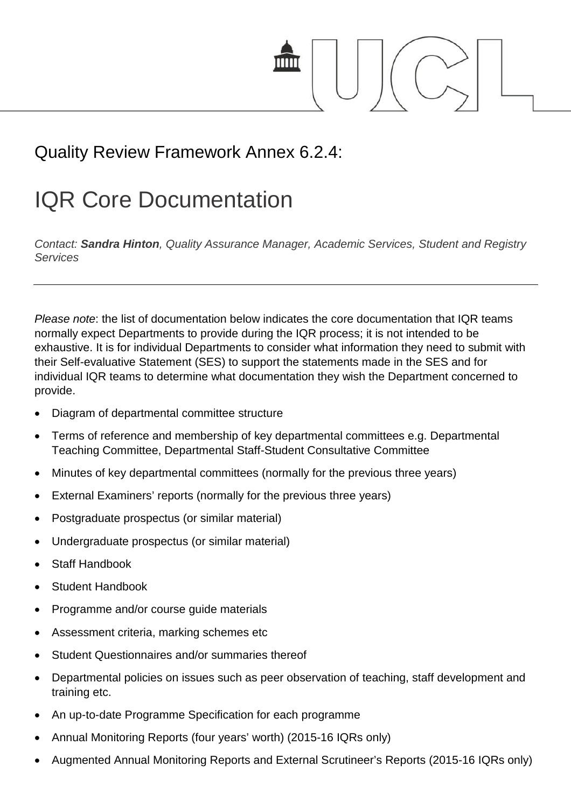

## Quality Review Framework Annex 6.2.4:

## IQR Core Documentation

*Contact: Sandra Hinton, Quality Assurance Manager, Academic Services, Student and Registry Services*

*Please note*: the list of documentation below indicates the core documentation that IQR teams normally expect Departments to provide during the IQR process; it is not intended to be exhaustive. It is for individual Departments to consider what information they need to submit with their Self-evaluative Statement (SES) to support the statements made in the SES and for individual IQR teams to determine what documentation they wish the Department concerned to provide.

- Diagram of departmental committee structure
- Terms of reference and membership of key departmental committees e.g. Departmental Teaching Committee, Departmental Staff-Student Consultative Committee
- Minutes of key departmental committees (normally for the previous three years)
- External Examiners' reports (normally for the previous three years)
- Postgraduate prospectus (or similar material)
- Undergraduate prospectus (or similar material)
- Staff Handbook
- Student Handbook
- Programme and/or course guide materials
- Assessment criteria, marking schemes etc
- Student Questionnaires and/or summaries thereof
- Departmental policies on issues such as peer observation of teaching, staff development and training etc.
- An up-to-date Programme Specification for each programme
- Annual Monitoring Reports (four years' worth) (2015-16 IQRs only)
- Augmented Annual Monitoring Reports and External Scrutineer's Reports (2015-16 IQRs only)